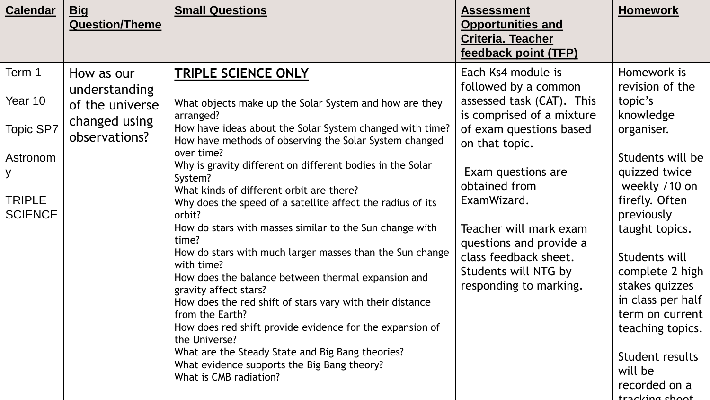| <b>Calendar</b>                                                                    | <u>Big</u><br><b>Question/Theme</b>                                              | <b>Small Questions</b>                                                                                                                                                                                                                                                                                                                                                                                                                                                                                                                                                                                                                                                                                                                                                                                                                                                                                                                                  | <b>Assessment</b><br><b>Opportunities and</b><br><b>Criteria. Teacher</b><br>feedback point (TFP)                                                                                                                                                                                                                                       | <b>Homework</b>                                                                                                                                                                                                                                                                                                                                                 |
|------------------------------------------------------------------------------------|----------------------------------------------------------------------------------|---------------------------------------------------------------------------------------------------------------------------------------------------------------------------------------------------------------------------------------------------------------------------------------------------------------------------------------------------------------------------------------------------------------------------------------------------------------------------------------------------------------------------------------------------------------------------------------------------------------------------------------------------------------------------------------------------------------------------------------------------------------------------------------------------------------------------------------------------------------------------------------------------------------------------------------------------------|-----------------------------------------------------------------------------------------------------------------------------------------------------------------------------------------------------------------------------------------------------------------------------------------------------------------------------------------|-----------------------------------------------------------------------------------------------------------------------------------------------------------------------------------------------------------------------------------------------------------------------------------------------------------------------------------------------------------------|
| Term 1<br>Year 10<br>Topic SP7<br>Astronom<br>y<br><b>TRIPLE</b><br><b>SCIENCE</b> | How as our<br>understanding<br>of the universe<br>changed using<br>observations? | <b>TRIPLE SCIENCE ONLY</b><br>What objects make up the Solar System and how are they<br>arranged?<br>How have ideas about the Solar System changed with time?<br>How have methods of observing the Solar System changed<br>over time?<br>Why is gravity different on different bodies in the Solar<br>System?<br>What kinds of different orbit are there?<br>Why does the speed of a satellite affect the radius of its<br>orbit?<br>How do stars with masses similar to the Sun change with<br>time?<br>How do stars with much larger masses than the Sun change<br>with time?<br>How does the balance between thermal expansion and<br>gravity affect stars?<br>How does the red shift of stars vary with their distance<br>from the Earth?<br>How does red shift provide evidence for the expansion of<br>the Universe?<br>What are the Steady State and Big Bang theories?<br>What evidence supports the Big Bang theory?<br>What is CMB radiation? | Each Ks4 module is<br>followed by a common<br>assessed task (CAT). This<br>is comprised of a mixture<br>of exam questions based<br>on that topic.<br>Exam questions are<br>obtained from<br>ExamWizard.<br>Teacher will mark exam<br>questions and provide a<br>class feedback sheet.<br>Students will NTG by<br>responding to marking. | Homework is<br>revision of the<br>topic's<br>knowledge<br>organiser.<br>Students will be<br>quizzed twice<br>weekly /10 on<br>firefly. Often<br>previously<br>taught topics.<br>Students will<br>complete 2 high<br>stakes quizzes<br>in class per half<br>term on current<br>teaching topics.<br>Student results<br>will be<br>recorded on a<br>tracking choot |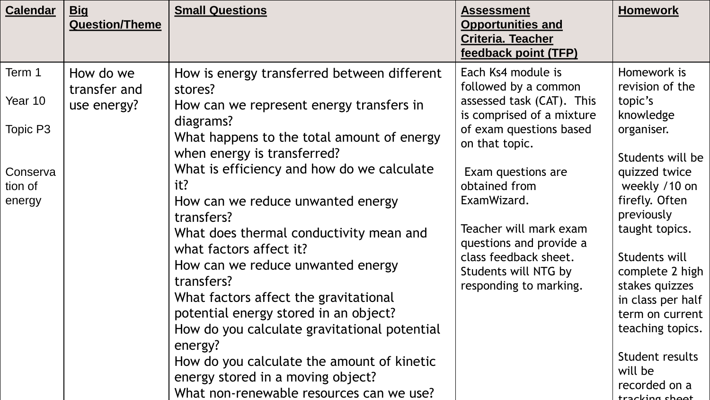| <b>Calendar</b>               | <b>Big</b><br><b>Question/Theme</b>      | <b>Small Questions</b>                                                                                                      | <b>Assessment</b><br><b>Opportunities and</b><br><b>Criteria. Teacher</b><br>feedback point (TFP)                               | <b>Homework</b>                                                      |
|-------------------------------|------------------------------------------|-----------------------------------------------------------------------------------------------------------------------------|---------------------------------------------------------------------------------------------------------------------------------|----------------------------------------------------------------------|
| Term 1<br>Year 10<br>Topic P3 | How do we<br>transfer and<br>use energy? | How is energy transferred between different<br>stores?<br>How can we represent energy transfers in<br>diagrams?             | Each Ks4 module is<br>followed by a common<br>assessed task (CAT). This<br>is comprised of a mixture<br>of exam questions based | Homework is<br>revision of the<br>topic's<br>knowledge<br>organiser. |
| Conserva                      |                                          | What happens to the total amount of energy<br>when energy is transferred?<br>What is efficiency and how do we calculate     | on that topic.<br>Exam questions are                                                                                            | Students will be<br>quizzed twice                                    |
| tion of<br>energy             |                                          | it?<br>How can we reduce unwanted energy<br>transfers?                                                                      | obtained from<br>ExamWizard.                                                                                                    | weekly /10 on<br>firefly. Often<br>previously                        |
|                               |                                          | What does thermal conductivity mean and<br>what factors affect it?<br>How can we reduce unwanted energy                     | Teacher will mark exam<br>questions and provide a<br>class feedback sheet.                                                      | taught topics.<br>Students will                                      |
|                               |                                          | transfers?<br>What factors affect the gravitational                                                                         | Students will NTG by<br>responding to marking.                                                                                  | complete 2 high<br>stakes quizzes<br>in class per half               |
|                               |                                          | potential energy stored in an object?<br>How do you calculate gravitational potential<br>energy?                            |                                                                                                                                 | term on current<br>teaching topics.                                  |
|                               |                                          | How do you calculate the amount of kinetic<br>energy stored in a moving object?<br>What non-renewable resources can we use? |                                                                                                                                 | Student results<br>will be<br>recorded on a<br>tracking shoot        |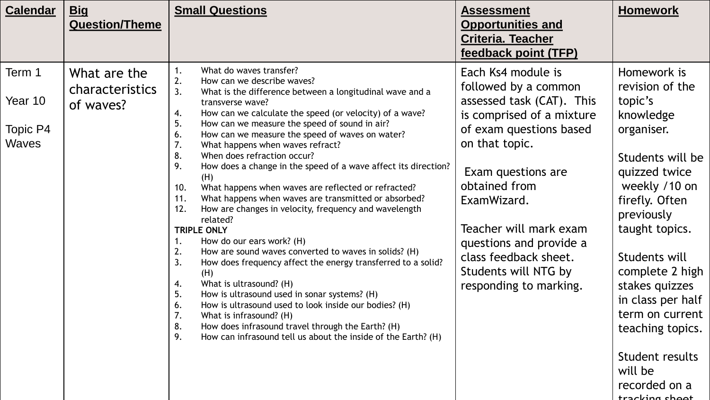| <b>Calendar</b>                               | <u>Big</u><br><b>Question/Theme</b>          | <b>Small Questions</b>                                                                                                                                                                                                                                                                                                                                                                                                                                                                                                                                                                                                                                                                                                                                                                                                                                                                                                                                                                                                                                                                                                                                                                                                                  | <b>Assessment</b><br><b>Opportunities and</b><br><b>Criteria. Teacher</b><br>feedback point (TFP)                                                                                                                                                                                                                                       | <b>Homework</b>                                                                                                                                                                                                                                                                                                                                                 |
|-----------------------------------------------|----------------------------------------------|-----------------------------------------------------------------------------------------------------------------------------------------------------------------------------------------------------------------------------------------------------------------------------------------------------------------------------------------------------------------------------------------------------------------------------------------------------------------------------------------------------------------------------------------------------------------------------------------------------------------------------------------------------------------------------------------------------------------------------------------------------------------------------------------------------------------------------------------------------------------------------------------------------------------------------------------------------------------------------------------------------------------------------------------------------------------------------------------------------------------------------------------------------------------------------------------------------------------------------------------|-----------------------------------------------------------------------------------------------------------------------------------------------------------------------------------------------------------------------------------------------------------------------------------------------------------------------------------------|-----------------------------------------------------------------------------------------------------------------------------------------------------------------------------------------------------------------------------------------------------------------------------------------------------------------------------------------------------------------|
| Term 1<br>Year 10<br>Topic P4<br><b>Waves</b> | What are the<br>characteristics<br>of waves? | What do waves transfer?<br>2.<br>How can we describe waves?<br>3.<br>What is the difference between a longitudinal wave and a<br>transverse wave?<br>How can we calculate the speed (or velocity) of a wave?<br>4.<br>5.<br>How can we measure the speed of sound in air?<br>How can we measure the speed of waves on water?<br>6.<br>What happens when waves refract?<br>7.<br>8.<br>When does refraction occur?<br>9.<br>How does a change in the speed of a wave affect its direction?<br>(H)<br>What happens when waves are reflected or refracted?<br>10.<br>What happens when waves are transmitted or absorbed?<br>11.<br>How are changes in velocity, frequency and wavelength<br>12.<br>related?<br><b>TRIPLE ONLY</b><br>How do our ears work? (H)<br>1.<br>How are sound waves converted to waves in solids? (H)<br>2.<br>3.<br>How does frequency affect the energy transferred to a solid?<br>(H)<br>What is ultrasound? (H)<br>4.<br>5.<br>How is ultrasound used in sonar systems? (H)<br>How is ultrasound used to look inside our bodies? (H)<br>6.<br>7.<br>What is infrasound? (H)<br>How does infrasound travel through the Earth? (H)<br>8.<br>How can infrasound tell us about the inside of the Earth? (H)<br>У. | Each Ks4 module is<br>followed by a common<br>assessed task (CAT). This<br>is comprised of a mixture<br>of exam questions based<br>on that topic.<br>Exam questions are<br>obtained from<br>ExamWizard.<br>Teacher will mark exam<br>questions and provide a<br>class feedback sheet.<br>Students will NTG by<br>responding to marking. | Homework is<br>revision of the<br>topic's<br>knowledge<br>organiser.<br>Students will be<br>quizzed twice<br>weekly /10 on<br>firefly. Often<br>previously<br>taught topics.<br>Students will<br>complete 2 high<br>stakes quizzes<br>in class per half<br>term on current<br>teaching topics.<br>Student results<br>will be<br>recorded on a<br>tracking choot |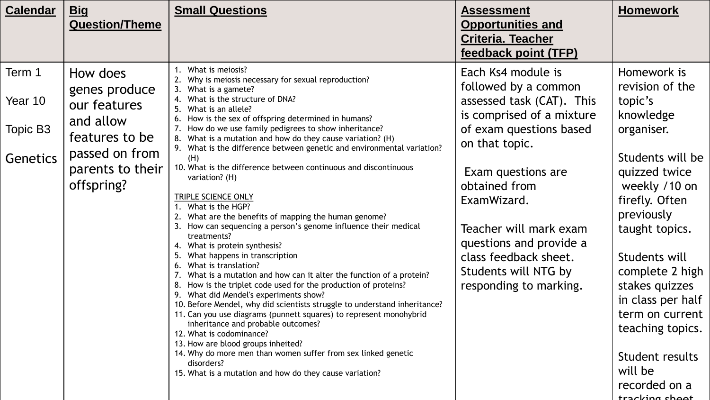| <b>Calendar</b><br><u>Big</u><br><b>Question/Theme</b>                                                                                                                           |                 | <b>Small Questions</b>                                                                                                                                                                                                                                                                                                                                                                                                                                                                                                                                                                                                                                                                                                                                                                                                                                                                                                                                                                                                                                                                                                                                                                                                                                                                                                                                                                        | <b>Assessment</b><br><b>Opportunities and</b><br><b>Criteria. Teacher</b><br>feedback point (TFP)                                                                                                                                                                                                                                       | <b>Homework</b>                                                                                                                                                                                                                                                                                                                                                 |
|----------------------------------------------------------------------------------------------------------------------------------------------------------------------------------|-----------------|-----------------------------------------------------------------------------------------------------------------------------------------------------------------------------------------------------------------------------------------------------------------------------------------------------------------------------------------------------------------------------------------------------------------------------------------------------------------------------------------------------------------------------------------------------------------------------------------------------------------------------------------------------------------------------------------------------------------------------------------------------------------------------------------------------------------------------------------------------------------------------------------------------------------------------------------------------------------------------------------------------------------------------------------------------------------------------------------------------------------------------------------------------------------------------------------------------------------------------------------------------------------------------------------------------------------------------------------------------------------------------------------------|-----------------------------------------------------------------------------------------------------------------------------------------------------------------------------------------------------------------------------------------------------------------------------------------------------------------------------------------|-----------------------------------------------------------------------------------------------------------------------------------------------------------------------------------------------------------------------------------------------------------------------------------------------------------------------------------------------------------------|
| Term 1<br>How does<br>genes produce<br>Year 10<br>our features<br>and allow<br>Topic B3<br>features to be<br>passed on from<br><b>Genetics</b><br>parents to their<br>offspring? | 4.<br>(H)<br>5. | 1. What is meiosis?<br>2. Why is meiosis necessary for sexual reproduction?<br>3. What is a gamete?<br>What is the structure of DNA?<br>5. What is an allele?<br>6. How is the sex of offspring determined in humans?<br>7. How do we use family pedigrees to show inheritance?<br>8. What is a mutation and how do they cause variation? (H)<br>9. What is the difference between genetic and environmental variation?<br>10. What is the difference between continuous and discontinuous<br>variation? (H)<br>TRIPLE SCIENCE ONLY<br>1. What is the HGP?<br>2. What are the benefits of mapping the human genome?<br>3. How can sequencing a person's genome influence their medical<br>treatments?<br>4. What is protein synthesis?<br>What happens in transcription<br>6. What is translation?<br>7. What is a mutation and how can it alter the function of a protein?<br>8. How is the triplet code used for the production of proteins?<br>9. What did Mendel's experiments show?<br>10. Before Mendel, why did scientists struggle to understand inheritance?<br>11. Can you use diagrams (punnett squares) to represent monohybrid<br>inheritance and probable outcomes?<br>12. What is codominance?<br>13. How are blood groups inheited?<br>14. Why do more men than women suffer from sex linked genetic<br>disorders?<br>15. What is a mutation and how do they cause variation? | Each Ks4 module is<br>followed by a common<br>assessed task (CAT). This<br>is comprised of a mixture<br>of exam questions based<br>on that topic.<br>Exam questions are<br>obtained from<br>ExamWizard.<br>Teacher will mark exam<br>questions and provide a<br>class feedback sheet.<br>Students will NTG by<br>responding to marking. | Homework is<br>revision of the<br>topic's<br>knowledge<br>organiser.<br>Students will be<br>quizzed twice<br>weekly /10 on<br>firefly. Often<br>previously<br>taught topics.<br>Students will<br>complete 2 high<br>stakes quizzes<br>in class per half<br>term on current<br>teaching topics.<br>Student results<br>will be<br>recorded on a<br>tracking choot |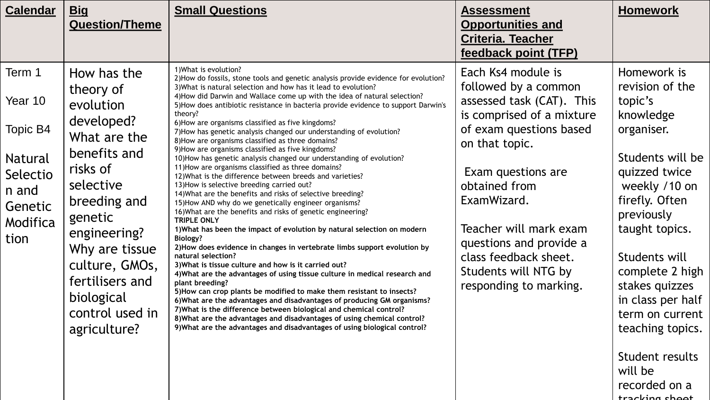| <b>Calendar</b>                                                                                     | <u>Big</u><br><b>Question/Theme</b>                                                                                                                                                                                                                             | <b>Small Questions</b>                                                                                                                                                                                                                                                                                                                                                                                                                                                                                                                                                                                                                                                                                                                                                                                                                                                                                                                                                                                                                                                                                                                                                                                                                                                                                                                                                                                                                                                                                                                                                                                                                                                                                                                                                                            | <b>Assessment</b><br><b>Opportunities and</b><br><b>Criteria. Teacher</b><br>feedback point (TFP)                                                                                                                                                                                                                                       | <b>Homework</b>                                                                                                                                                                                                                                                                                                                               |
|-----------------------------------------------------------------------------------------------------|-----------------------------------------------------------------------------------------------------------------------------------------------------------------------------------------------------------------------------------------------------------------|---------------------------------------------------------------------------------------------------------------------------------------------------------------------------------------------------------------------------------------------------------------------------------------------------------------------------------------------------------------------------------------------------------------------------------------------------------------------------------------------------------------------------------------------------------------------------------------------------------------------------------------------------------------------------------------------------------------------------------------------------------------------------------------------------------------------------------------------------------------------------------------------------------------------------------------------------------------------------------------------------------------------------------------------------------------------------------------------------------------------------------------------------------------------------------------------------------------------------------------------------------------------------------------------------------------------------------------------------------------------------------------------------------------------------------------------------------------------------------------------------------------------------------------------------------------------------------------------------------------------------------------------------------------------------------------------------------------------------------------------------------------------------------------------------|-----------------------------------------------------------------------------------------------------------------------------------------------------------------------------------------------------------------------------------------------------------------------------------------------------------------------------------------|-----------------------------------------------------------------------------------------------------------------------------------------------------------------------------------------------------------------------------------------------------------------------------------------------------------------------------------------------|
| Term 1<br>Year 10<br>Topic B4<br><b>Natural</b><br>Selectio<br>n and<br>Genetic<br>Modifica<br>tion | How has the<br>theory of<br>evolution<br>developed?<br>What are the<br>benefits and<br>risks of<br>selective<br>breeding and<br>genetic<br>engineering?<br>Why are tissue<br>culture, GMOs,<br>fertilisers and<br>biological<br>control used in<br>agriculture? | 1) What is evolution?<br>2) How do fossils, stone tools and genetic analysis provide evidence for evolution?<br>3) What is natural selection and how has it lead to evolution?<br>4) How did Darwin and Wallace come up with the idea of natural selection?<br>5) How does antibiotic resistance in bacteria provide evidence to support Darwin's<br>theory?<br>6) How are organisms classified as five kingdoms?<br>7) How has genetic analysis changed our understanding of evolution?<br>8) How are organisms classified as three domains?<br>9) How are organisms classified as five kingdoms?<br>10) How has genetic analysis changed our understanding of evolution?<br>11) How are organisms classified as three domains?<br>12) What is the difference between breeds and varieties?<br>13) How is selective breeding carried out?<br>14) What are the benefits and risks of selective breeding?<br>15) How AND why do we genetically engineer organisms?<br>16) What are the benefits and risks of genetic engineering?<br><b>TRIPLE ONLY</b><br>1) What has been the impact of evolution by natural selection on modern<br><b>Biology?</b><br>2) How does evidence in changes in vertebrate limbs support evolution by<br>natural selection?<br>3) What is tissue culture and how is it carried out?<br>4) What are the advantages of using tissue culture in medical research and<br>plant breeding?<br>5) How can crop plants be modified to make them resistant to insects?<br>6) What are the advantages and disadvantages of producing GM organisms?<br>7) What is the difference between biological and chemical control?<br>8) What are the advantages and disadvantages of using chemical control?<br>9) What are the advantages and disadvantages of using biological control? | Each Ks4 module is<br>followed by a common<br>assessed task (CAT). This<br>is comprised of a mixture<br>of exam questions based<br>on that topic.<br>Exam questions are<br>obtained from<br>ExamWizard.<br>Teacher will mark exam<br>questions and provide a<br>class feedback sheet.<br>Students will NTG by<br>responding to marking. | Homework is<br>revision of the<br>topic's<br>knowledge<br>organiser.<br>Students will be<br>quizzed twice<br>weekly /10 on<br>firefly. Often<br>previously<br>taught topics.<br>Students will<br>complete 2 high<br>stakes quizzes<br>in class per half<br>term on current<br>teaching topics.<br>Student results<br>will be<br>recorded on a |

tracking shoot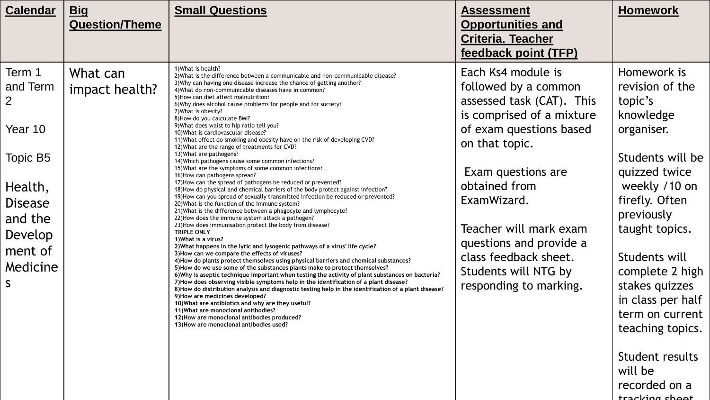| <b>Calendar</b>                                                                                                                            | <u>Big</u><br><b>Question/Theme</b> | <b>Small Questions</b>                                                                                                                                                                                                                                                                                                                                                                                                                                                                                                                                                                                                                                                                                                                                                                                                                                                                                                                                                                                                                                                                                                                                                                                                                                                                                                                                                                                                                                                                                                                                                                                                                                                                                                                                                                                                                                                                                                                                                                                                                                                                                                                                      | <b>Assessment</b><br><b>Opportunities and</b><br><b>Criteria. Teacher</b><br>feedback point (TFP)                                                                                                                                                                                                                                       | <b>Homework</b>                                                                                                                                                                                                                                                                                                                                                 |
|--------------------------------------------------------------------------------------------------------------------------------------------|-------------------------------------|-------------------------------------------------------------------------------------------------------------------------------------------------------------------------------------------------------------------------------------------------------------------------------------------------------------------------------------------------------------------------------------------------------------------------------------------------------------------------------------------------------------------------------------------------------------------------------------------------------------------------------------------------------------------------------------------------------------------------------------------------------------------------------------------------------------------------------------------------------------------------------------------------------------------------------------------------------------------------------------------------------------------------------------------------------------------------------------------------------------------------------------------------------------------------------------------------------------------------------------------------------------------------------------------------------------------------------------------------------------------------------------------------------------------------------------------------------------------------------------------------------------------------------------------------------------------------------------------------------------------------------------------------------------------------------------------------------------------------------------------------------------------------------------------------------------------------------------------------------------------------------------------------------------------------------------------------------------------------------------------------------------------------------------------------------------------------------------------------------------------------------------------------------------|-----------------------------------------------------------------------------------------------------------------------------------------------------------------------------------------------------------------------------------------------------------------------------------------------------------------------------------------|-----------------------------------------------------------------------------------------------------------------------------------------------------------------------------------------------------------------------------------------------------------------------------------------------------------------------------------------------------------------|
| Term 1<br>and Term<br>$\overline{2}$<br>Year 10<br>Topic B5<br>Health,<br><b>Disease</b><br>and the<br>Develop<br>ment of<br>Medicine<br>S | What can<br>impact health?          | 1) What is health?<br>2) What is the difference between a communicable and non-communicable disease?<br>3) Why can having one disease increase the chance of getting another?<br>4) What do non-communicable diseases have in common?<br>5) How can diet affect malnutrition?<br>6) Why does alcohol cause problems for people and for society?<br>7) What is obesity?<br>8) How do you calculate BMI?<br>9) What does waist to hip ratio tell you?<br>10) What is cardiovascular disease?<br>11) What effect do smoking and obesity have on the risk of developing CVD?<br>12) What are the range of treatments for CVD?<br>13) What are pathogens?<br>14) Which pathogens cause some common infections?<br>15) What are the symptoms of some common infections?<br>16) How can pathogens spread?<br>17) How can the spread of pathogens be reduced or prevented?<br>18) How do physical and chemical barriers of the body protect against infection?<br>19) How can you spread of sexually transmitted infection be reduced or prevented?<br>20) What is the function of the immune system?<br>21) What is the difference between a phagocyte and lymphocyte?<br>22) How does the immune system attack a pathogen?<br>23) How does immunisation protect the body from disease?<br>TRIPLE ONLY<br>1) What is a virus?<br>2) What happens in the lytic and lysogenic pathways of a virus' life cycle?<br>3) How can we compare the effects of viruses?<br>4) How do plants protect themselves using physical barriers and chemical substances?<br>5) How do we use some of the substances plants make to protect themselves?<br>6) Why is aseptic technique important when testing the activity of plant substances on bacteria?<br>7) How does observing visible symptoms help in the identification of a plant disease?<br>8) How do distribution analysis and diagnostic testing help in the identification of a plant disease?<br>9) How are medicines developed?<br>10) What are antibiotics and why are they useful?<br>11) What are monoclonal antibodies?<br>12) How are monoclonal antibodies produced?<br>13) How are monoclonal antibodies used? | Each Ks4 module is<br>followed by a common<br>assessed task (CAT). This<br>is comprised of a mixture<br>of exam questions based<br>on that topic.<br>Exam questions are<br>obtained from<br>ExamWizard.<br>Teacher will mark exam<br>questions and provide a<br>class feedback sheet.<br>Students will NTG by<br>responding to marking. | Homework is<br>revision of the<br>topic's<br>knowledge<br>organiser.<br>Students will be<br>quizzed twice<br>weekly /10 on<br>firefly. Often<br>previously<br>taught topics.<br>Students will<br>complete 2 high<br>stakes quizzes<br>in class per half<br>term on current<br>teaching topics.<br>Student results<br>will be<br>recorded on a<br>tracking chool |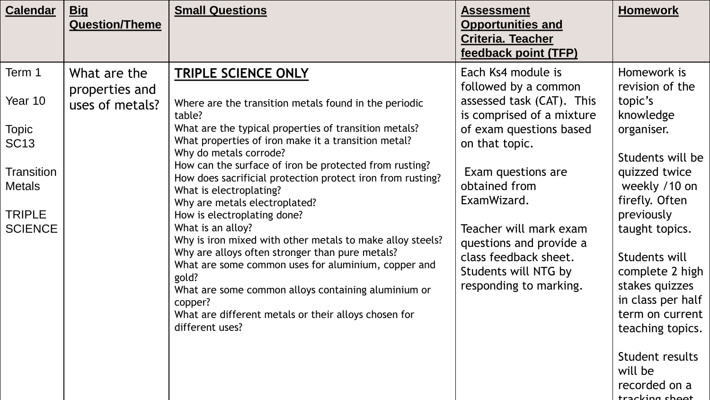| <b>Calendar</b>                 | <u>Big</u><br><b>Question/Theme</b> | <b>Small Questions</b>                                                                                                                                                                                                                                       | <b>Assessment</b><br><b>Opportunities and</b><br><b>Criteria. Teacher</b><br>feedback point (TFP) | <b>Homework</b>                                                                                                |
|---------------------------------|-------------------------------------|--------------------------------------------------------------------------------------------------------------------------------------------------------------------------------------------------------------------------------------------------------------|---------------------------------------------------------------------------------------------------|----------------------------------------------------------------------------------------------------------------|
| Term 1                          | What are the                        | <b>TRIPLE SCIENCE ONLY</b>                                                                                                                                                                                                                                   | Each Ks4 module is<br>followed by a common                                                        | Homework is<br>revision of the                                                                                 |
| Year 10                         | properties and<br>uses of metals?   | Where are the transition metals found in the periodic<br>table?                                                                                                                                                                                              | assessed task (CAT). This<br>is comprised of a mixture                                            | topic's<br>knowledge                                                                                           |
| <b>Topic</b><br><b>SC13</b>     |                                     | What are the typical properties of transition metals?<br>What properties of iron make it a transition metal?                                                                                                                                                 | of exam questions based<br>on that topic.                                                         | organiser.                                                                                                     |
| Transition<br><b>Metals</b>     |                                     | Why do metals corrode?<br>How can the surface of iron be protected from rusting?<br>How does sacrificial protection protect iron from rusting?<br>What is electroplating?                                                                                    | Exam questions are<br>obtained from                                                               | Students will be<br>quizzed twice<br>weekly /10 on                                                             |
| <b>TRIPLE</b><br><b>SCIENCE</b> |                                     | Why are metals electroplated?<br>How is electroplating done?<br>What is an alloy?<br>Why is iron mixed with other metals to make alloy steels?                                                                                                               | ExamWizard.<br>Teacher will mark exam<br>questions and provide a                                  | firefly. Often<br>previously<br>taught topics.                                                                 |
|                                 |                                     | Why are alloys often stronger than pure metals?<br>What are some common uses for aluminium, copper and<br>gold?<br>What are some common alloys containing aluminium or<br>copper?<br>What are different metals or their alloys chosen for<br>different uses? | class feedback sheet.<br>Students will NTG by<br>responding to marking.                           | Students will<br>complete 2 high<br>stakes quizzes<br>in class per half<br>term on current<br>teaching topics. |
|                                 |                                     |                                                                                                                                                                                                                                                              |                                                                                                   | Student results<br>will be<br>recorded on a<br>trackina cho                                                    |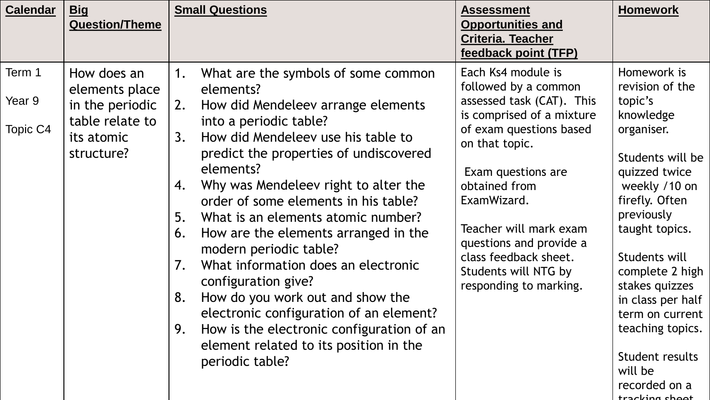| <b>Calendar</b>              | <u>Big</u><br><b>Question/Theme</b>                                                             | <b>Small Questions</b>                                                                                                                                                                                                                                                                                                                                                                                                                                                                                                                                                                                                                                                                                                    | <b>Assessment</b><br><b>Opportunities and</b><br><b>Criteria. Teacher</b><br>feedback point (TFP)                                                                                                                                                                                                                                       | <b>Homework</b>                                                                                                                                                                                                                                                                                                                                            |
|------------------------------|-------------------------------------------------------------------------------------------------|---------------------------------------------------------------------------------------------------------------------------------------------------------------------------------------------------------------------------------------------------------------------------------------------------------------------------------------------------------------------------------------------------------------------------------------------------------------------------------------------------------------------------------------------------------------------------------------------------------------------------------------------------------------------------------------------------------------------------|-----------------------------------------------------------------------------------------------------------------------------------------------------------------------------------------------------------------------------------------------------------------------------------------------------------------------------------------|------------------------------------------------------------------------------------------------------------------------------------------------------------------------------------------------------------------------------------------------------------------------------------------------------------------------------------------------------------|
| Term 1<br>Year 9<br>Topic C4 | How does an<br>elements place<br>in the periodic<br>table relate to<br>its atomic<br>structure? | What are the symbols of some common<br>1.<br>elements?<br>How did Mendeleev arrange elements<br><b>2.</b><br>into a periodic table?<br>How did Mendeleev use his table to<br>3.<br>predict the properties of undiscovered<br>elements?<br>Why was Mendeleev right to alter the<br>4.<br>order of some elements in his table?<br>What is an elements atomic number?<br>5.<br>How are the elements arranged in the<br>6.<br>modern periodic table?<br>What information does an electronic<br>7.<br>configuration give?<br>How do you work out and show the<br>8.<br>electronic configuration of an element?<br>How is the electronic configuration of an<br>9.<br>element related to its position in the<br>periodic table? | Each Ks4 module is<br>followed by a common<br>assessed task (CAT). This<br>is comprised of a mixture<br>of exam questions based<br>on that topic.<br>Exam questions are<br>obtained from<br>ExamWizard.<br>Teacher will mark exam<br>questions and provide a<br>class feedback sheet.<br>Students will NTG by<br>responding to marking. | Homework is<br>revision of the<br>topic's<br>knowledge<br>organiser.<br>Students will be<br>quizzed twice<br>weekly /10 on<br>firefly. Often<br>previously<br>taught topics.<br>Students will<br>complete 2 high<br>stakes quizzes<br>in class per half<br>term on current<br>teaching topics.<br>Student results<br>will be<br>recorded on a<br>trackions |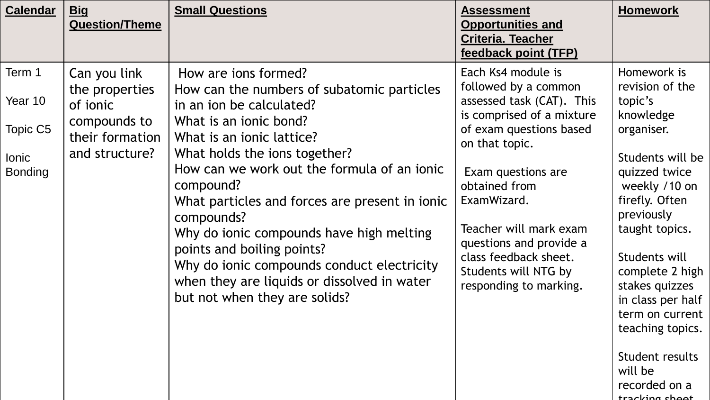| <b>Calendar</b>                                                 | <b>Big</b><br><b>Question/Theme</b>                                                             | <b>Small Questions</b>                                                                                                                                                                                                                                                                                                                                                                                                                                                                                                     | <b>Assessment</b><br><b>Opportunities and</b><br><b>Criteria. Teacher</b><br>feedback point (TFP)                                                                                                                                                                                                                                       | <b>Homework</b>                                                                                                                                                                                                                                                                                                                                                 |
|-----------------------------------------------------------------|-------------------------------------------------------------------------------------------------|----------------------------------------------------------------------------------------------------------------------------------------------------------------------------------------------------------------------------------------------------------------------------------------------------------------------------------------------------------------------------------------------------------------------------------------------------------------------------------------------------------------------------|-----------------------------------------------------------------------------------------------------------------------------------------------------------------------------------------------------------------------------------------------------------------------------------------------------------------------------------------|-----------------------------------------------------------------------------------------------------------------------------------------------------------------------------------------------------------------------------------------------------------------------------------------------------------------------------------------------------------------|
| Term 1<br>Year 10<br>Topic C5<br><b>lonic</b><br><b>Bonding</b> | Can you link<br>the properties<br>of ionic<br>compounds to<br>their formation<br>and structure? | How are jons formed?<br>How can the numbers of subatomic particles<br>in an ion be calculated?<br>What is an ionic bond?<br>What is an ionic lattice?<br>What holds the ions together?<br>How can we work out the formula of an ionic<br>compound?<br>What particles and forces are present in ionic<br>compounds?<br>Why do ionic compounds have high melting<br>points and boiling points?<br>Why do ionic compounds conduct electricity<br>when they are liquids or dissolved in water<br>but not when they are solids? | Each Ks4 module is<br>followed by a common<br>assessed task (CAT). This<br>is comprised of a mixture<br>of exam questions based<br>on that topic.<br>Exam questions are<br>obtained from<br>ExamWizard.<br>Teacher will mark exam<br>questions and provide a<br>class feedback sheet.<br>Students will NTG by<br>responding to marking. | Homework is<br>revision of the<br>topic's<br>knowledge<br>organiser.<br>Students will be<br>quizzed twice<br>weekly /10 on<br>firefly. Often<br>previously<br>taught topics.<br>Students will<br>complete 2 high<br>stakes quizzes<br>in class per half<br>term on current<br>teaching topics.<br>Student results<br>will be<br>recorded on a<br>tracking shoot |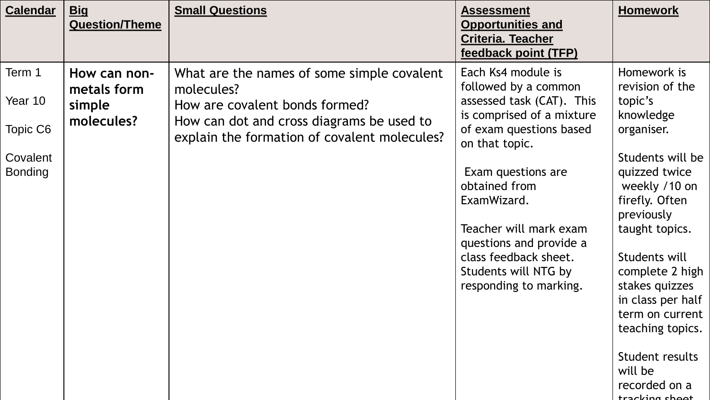| <b>Calendar</b>               | <b>Big</b><br><b>Question/Theme</b>                 | <b>Small Questions</b>                                                                                                                                                                  | <b>Assessment</b><br><b>Opportunities and</b><br><b>Criteria. Teacher</b><br>feedback point (TFP)                                                                                  | <b>Homework</b>                                                                                                                                                                                                                                                                         |
|-------------------------------|-----------------------------------------------------|-----------------------------------------------------------------------------------------------------------------------------------------------------------------------------------------|------------------------------------------------------------------------------------------------------------------------------------------------------------------------------------|-----------------------------------------------------------------------------------------------------------------------------------------------------------------------------------------------------------------------------------------------------------------------------------------|
| Term 1<br>Year 10<br>Topic C6 | How can non-<br>metals form<br>simple<br>molecules? | What are the names of some simple covalent<br>molecules?<br>How are covalent bonds formed?<br>How can dot and cross diagrams be used to<br>explain the formation of covalent molecules? | Each Ks4 module is<br>followed by a common<br>assessed task (CAT). This<br>is comprised of a mixture<br>of exam questions based<br>on that topic.                                  | Homework is<br>revision of the<br>topic's<br>knowledge<br>organiser.                                                                                                                                                                                                                    |
| Covalent<br><b>Bonding</b>    |                                                     |                                                                                                                                                                                         | Exam questions are<br>obtained from<br>ExamWizard.<br>Teacher will mark exam<br>questions and provide a<br>class feedback sheet.<br>Students will NTG by<br>responding to marking. | Students will be<br>quizzed twice<br>weekly /10 on<br>firefly. Often<br>previously<br>taught topics.<br>Students will<br>complete 2 high<br>stakes quizzes<br>in class per half<br>term on current<br>teaching topics.<br>Student results<br>will be<br>recorded on a<br>tracking shoot |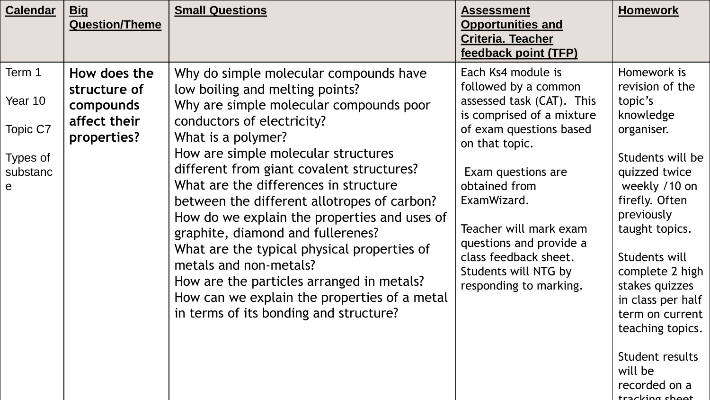| <b>Calendar</b>                                                       | <b>Big</b><br><b>Question/Theme</b>                                      | <b>Small Questions</b>                                                                                                                                                                                                                                                                                                                                                                                                                                                                                                                                                                                                                                    | <b>Assessment</b><br><b>Opportunities and</b><br><b>Criteria. Teacher</b><br>feedback point (TFP)                                                                                                                                                                                                                                       | <b>Homework</b>                                                                                                                                                                                                                                                                                                                                                 |
|-----------------------------------------------------------------------|--------------------------------------------------------------------------|-----------------------------------------------------------------------------------------------------------------------------------------------------------------------------------------------------------------------------------------------------------------------------------------------------------------------------------------------------------------------------------------------------------------------------------------------------------------------------------------------------------------------------------------------------------------------------------------------------------------------------------------------------------|-----------------------------------------------------------------------------------------------------------------------------------------------------------------------------------------------------------------------------------------------------------------------------------------------------------------------------------------|-----------------------------------------------------------------------------------------------------------------------------------------------------------------------------------------------------------------------------------------------------------------------------------------------------------------------------------------------------------------|
| Term 1<br>Year 10<br>Topic C7<br>Types of<br>substanc<br>$\mathbf{e}$ | How does the<br>structure of<br>compounds<br>affect their<br>properties? | Why do simple molecular compounds have<br>low boiling and melting points?<br>Why are simple molecular compounds poor<br>conductors of electricity?<br>What is a polymer?<br>How are simple molecular structures<br>different from giant covalent structures?<br>What are the differences in structure<br>between the different allotropes of carbon?<br>How do we explain the properties and uses of<br>graphite, diamond and fullerenes?<br>What are the typical physical properties of<br>metals and non-metals?<br>How are the particles arranged in metals?<br>How can we explain the properties of a metal<br>in terms of its bonding and structure? | Each Ks4 module is<br>followed by a common<br>assessed task (CAT). This<br>is comprised of a mixture<br>of exam questions based<br>on that topic.<br>Exam questions are<br>obtained from<br>ExamWizard.<br>Teacher will mark exam<br>questions and provide a<br>class feedback sheet.<br>Students will NTG by<br>responding to marking. | Homework is<br>revision of the<br>topic's<br>knowledge<br>organiser.<br>Students will be<br>quizzed twice<br>weekly /10 on<br>firefly. Often<br>previously<br>taught topics.<br>Students will<br>complete 2 high<br>stakes quizzes<br>in class per half<br>term on current<br>teaching topics.<br>Student results<br>will be<br>recorded on a<br>tracking chool |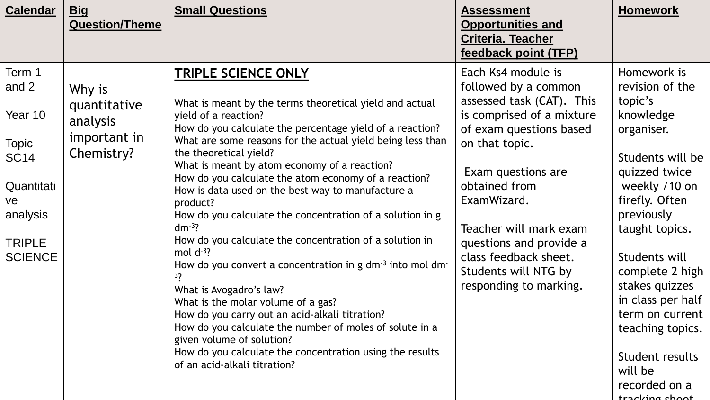| <b>Calendar</b>                                                                                                              | <b>Big</b><br><b>Question/Theme</b>                              | <b>Small Questions</b>                                                                                                                                                                                                                                                                                                                                                                                                                                                                                                                                                                                                                                                                                                                                                                                                                                                                                                                                                                        | <b>Assessment</b><br><b>Opportunities and</b><br><b>Criteria. Teacher</b><br>feedback point (TFP)                                                                                                                                                                                                                                       | <b>Homework</b>                                                                                                                                                                                                                                                                                                                                            |
|------------------------------------------------------------------------------------------------------------------------------|------------------------------------------------------------------|-----------------------------------------------------------------------------------------------------------------------------------------------------------------------------------------------------------------------------------------------------------------------------------------------------------------------------------------------------------------------------------------------------------------------------------------------------------------------------------------------------------------------------------------------------------------------------------------------------------------------------------------------------------------------------------------------------------------------------------------------------------------------------------------------------------------------------------------------------------------------------------------------------------------------------------------------------------------------------------------------|-----------------------------------------------------------------------------------------------------------------------------------------------------------------------------------------------------------------------------------------------------------------------------------------------------------------------------------------|------------------------------------------------------------------------------------------------------------------------------------------------------------------------------------------------------------------------------------------------------------------------------------------------------------------------------------------------------------|
| Term 1<br>and 2<br>Year 10<br><b>Topic</b><br><b>SC14</b><br>Quantitati<br>ve<br>analysis<br><b>TRIPLE</b><br><b>SCIENCE</b> | Why is<br>quantitative<br>analysis<br>important in<br>Chemistry? | <b>TRIPLE SCIENCE ONLY</b><br>What is meant by the terms theoretical yield and actual<br>yield of a reaction?<br>How do you calculate the percentage yield of a reaction?<br>What are some reasons for the actual yield being less than<br>the theoretical yield?<br>What is meant by atom economy of a reaction?<br>How do you calculate the atom economy of a reaction?<br>How is data used on the best way to manufacture a<br>product?<br>How do you calculate the concentration of a solution in g<br>$dm^{-3}$ ?<br>How do you calculate the concentration of a solution in<br>mol $d^{-3}$ ?<br>How do you convert a concentration in g $dm^{-3}$ into mol dm<br>3 <sub>2</sub><br>What is Avogadro's law?<br>What is the molar volume of a gas?<br>How do you carry out an acid-alkali titration?<br>How do you calculate the number of moles of solute in a<br>given volume of solution?<br>How do you calculate the concentration using the results<br>of an acid-alkali titration? | Each Ks4 module is<br>followed by a common<br>assessed task (CAT). This<br>is comprised of a mixture<br>of exam questions based<br>on that topic.<br>Exam questions are<br>obtained from<br>ExamWizard.<br>Teacher will mark exam<br>questions and provide a<br>class feedback sheet.<br>Students will NTG by<br>responding to marking. | Homework is<br>revision of the<br>topic's<br>knowledge<br>organiser.<br>Students will be<br>quizzed twice<br>weekly /10 on<br>firefly. Often<br>previously<br>taught topics.<br>Students will<br>complete 2 high<br>stakes quizzes<br>in class per half<br>term on current<br>teaching topics.<br>Student results<br>will be<br>recorded on a<br>trackline |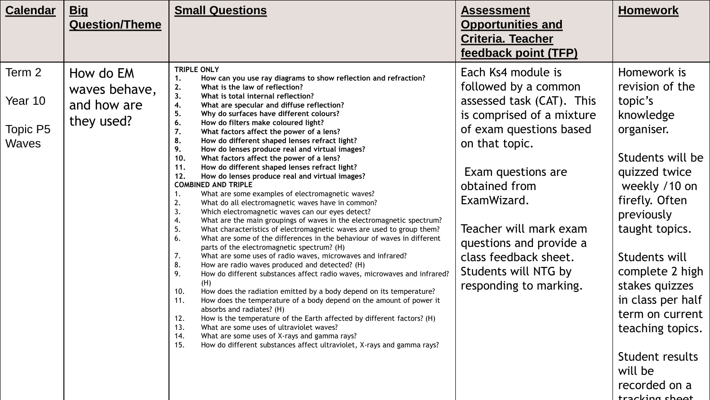| <b>Calendar</b>                               | <b>Big</b><br><b>Question/Theme</b>                     | <b>Small Questions</b>                                                                                                                                                                                                                                                                                                                                                                                                                                                                                                                                                                                                                                                                                                                                                                                                                                                                                                                                                                                                                                                                                                                                                                                                                                                                                                                                                                                                                                                                                                                                                                                                                                                                                                                                                                                                                                               | <b>Assessment</b><br><b>Opportunities and</b><br><b>Criteria. Teacher</b><br>feedback point (TFP)                                                                                                                                                                                                                                       | <b>Homework</b>                                                                                                                                                                                                                                                                                                                                                 |
|-----------------------------------------------|---------------------------------------------------------|----------------------------------------------------------------------------------------------------------------------------------------------------------------------------------------------------------------------------------------------------------------------------------------------------------------------------------------------------------------------------------------------------------------------------------------------------------------------------------------------------------------------------------------------------------------------------------------------------------------------------------------------------------------------------------------------------------------------------------------------------------------------------------------------------------------------------------------------------------------------------------------------------------------------------------------------------------------------------------------------------------------------------------------------------------------------------------------------------------------------------------------------------------------------------------------------------------------------------------------------------------------------------------------------------------------------------------------------------------------------------------------------------------------------------------------------------------------------------------------------------------------------------------------------------------------------------------------------------------------------------------------------------------------------------------------------------------------------------------------------------------------------------------------------------------------------------------------------------------------------|-----------------------------------------------------------------------------------------------------------------------------------------------------------------------------------------------------------------------------------------------------------------------------------------------------------------------------------------|-----------------------------------------------------------------------------------------------------------------------------------------------------------------------------------------------------------------------------------------------------------------------------------------------------------------------------------------------------------------|
| Term 2<br>Year 10<br>Topic P5<br><b>Waves</b> | How do EM<br>waves behave,<br>and how are<br>they used? | <b>TRIPLE ONLY</b><br>How can you use ray diagrams to show reflection and refraction?<br>2.<br>What is the law of reflection?<br>3.<br>What is total internal reflection?<br>4.<br>What are specular and diffuse reflection?<br>5.<br>Why do surfaces have different colours?<br>6.<br>How do filters make coloured light?<br>7.<br>What factors affect the power of a lens?<br>8.<br>How do different shaped lenses refract light?<br>9.<br>How do lenses produce real and virtual images?<br>10.<br>What factors affect the power of a lens?<br>11.<br>How do different shaped lenses refract light?<br>12.<br>How do lenses produce real and virtual images?<br><b>COMBINED AND TRIPLE</b><br>What are some examples of electromagnetic waves?<br>1.<br>2.<br>What do all electromagnetic waves have in common?<br>Which electromagnetic waves can our eyes detect?<br>3.<br>What are the main groupings of waves in the electromagnetic spectrum?<br>4.<br>5.<br>What characteristics of electromagnetic waves are used to group them?<br>6.<br>What are some of the differences in the behaviour of waves in different<br>parts of the electromagnetic spectrum? (H)<br>What are some uses of radio waves, microwaves and infrared?<br>7.<br>8.<br>How are radio waves produced and detected? (H)<br>9.<br>How do different substances affect radio waves, microwaves and infrared?<br>(H)<br>10.<br>How does the radiation emitted by a body depend on its temperature?<br>11.<br>How does the temperature of a body depend on the amount of power it<br>absorbs and radiates? (H)<br>How is the temperature of the Earth affected by different factors? (H)<br>12.<br>What are some uses of ultraviolet waves?<br>13.<br>What are some uses of X-rays and gamma rays?<br>14.<br>15.<br>How do different substances affect ultraviolet, X-rays and gamma rays? | Each Ks4 module is<br>followed by a common<br>assessed task (CAT). This<br>is comprised of a mixture<br>of exam questions based<br>on that topic.<br>Exam questions are<br>obtained from<br>ExamWizard.<br>Teacher will mark exam<br>questions and provide a<br>class feedback sheet.<br>Students will NTG by<br>responding to marking. | Homework is<br>revision of the<br>topic's<br>knowledge<br>organiser.<br>Students will be<br>quizzed twice<br>weekly /10 on<br>firefly. Often<br>previously<br>taught topics.<br>Students will<br>complete 2 high<br>stakes quizzes<br>in class per half<br>term on current<br>teaching topics.<br>Student results<br>will be<br>recorded on a<br>tracking choot |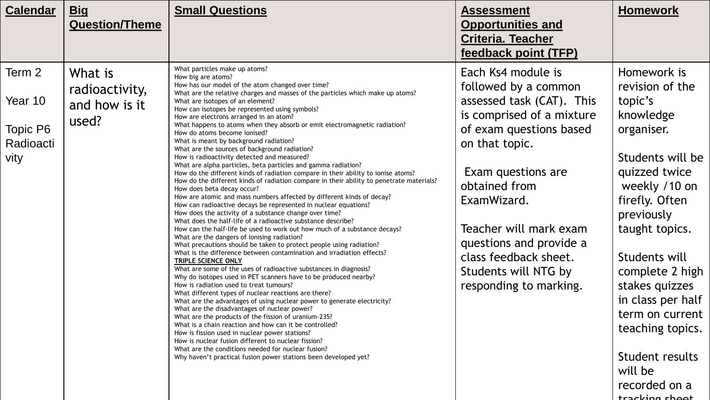| <b>Calendar</b>                                    | <u>Big</u><br><b>Question/Theme</b>                 | <b>Small Questions</b>                                                                                                                                                                                                                                                                                                                                                                                                                                                                                                                                                                                                                                                                                                                                                                                                                                                                                                                                                                                                                                                                                                                                                                                                                                                                                                                                                                                                                                                                                                                                                                                                                                                                                                                                                                                                                                                                                                                                                                                                                                                                                                                                               | <b>Assessment</b><br><b>Opportunities and</b><br><b>Criteria. Teacher</b><br>feedback point (TFP)                                                                                                                                                                                                                                       | <b>Homework</b>                                                                                                                                                                                                                                                                                                                                                 |
|----------------------------------------------------|-----------------------------------------------------|----------------------------------------------------------------------------------------------------------------------------------------------------------------------------------------------------------------------------------------------------------------------------------------------------------------------------------------------------------------------------------------------------------------------------------------------------------------------------------------------------------------------------------------------------------------------------------------------------------------------------------------------------------------------------------------------------------------------------------------------------------------------------------------------------------------------------------------------------------------------------------------------------------------------------------------------------------------------------------------------------------------------------------------------------------------------------------------------------------------------------------------------------------------------------------------------------------------------------------------------------------------------------------------------------------------------------------------------------------------------------------------------------------------------------------------------------------------------------------------------------------------------------------------------------------------------------------------------------------------------------------------------------------------------------------------------------------------------------------------------------------------------------------------------------------------------------------------------------------------------------------------------------------------------------------------------------------------------------------------------------------------------------------------------------------------------------------------------------------------------------------------------------------------------|-----------------------------------------------------------------------------------------------------------------------------------------------------------------------------------------------------------------------------------------------------------------------------------------------------------------------------------------|-----------------------------------------------------------------------------------------------------------------------------------------------------------------------------------------------------------------------------------------------------------------------------------------------------------------------------------------------------------------|
| Term 2<br>Year 10<br>Topic P6<br>Radioacti<br>vity | What is<br>radioactivity,<br>and how is it<br>used? | What particles make up atoms?<br>How big are atoms?<br>How has our model of the atom changed over time?<br>What are the relative charges and masses of the particles which make up atoms?<br>What are isotopes of an element?<br>How can isotopes be represented using symbols?<br>How are electrons arranged in an atom?<br>What happens to atoms when they absorb or emit electromagnetic radiation?<br>How do atoms become ionised?<br>What is meant by background radiation?<br>What are the sources of background radiation?<br>How is radioactivity detected and measured?<br>What are alpha particles, beta particles and gamma radiation?<br>How do the different kinds of radiation compare in their ability to ionise atoms?<br>How do the different kinds of radiation compare in their ability to penetrate materials?<br>How does beta decay occur?<br>How are atomic and mass numbers affected by different kinds of decay?<br>How can radioactive decays be represented in nuclear equations?<br>How does the activity of a substance change over time?<br>What does the half-life of a radioactive substance describe?<br>How can the half-life be used to work out how much of a substance decays?<br>What are the dangers of ionising radiation?<br>What precautions should be taken to protect people using radiation?<br>What is the difference between contamination and irradiation effects?<br>TRIPLE SCIENCE ONLY<br>What are some of the uses of radioactive substances in diagnosis?<br>Why do isotopes used in PET scanners have to be produced nearby?<br>How is radiation used to treat tumours?<br>What different types of nuclear reactions are there?<br>What are the advantages of using nuclear power to generate electricity?<br>What are the disadvantages of nuclear power?<br>What are the products of the fission of uranium-235?<br>What is a chain reaction and how can it be controlled?<br>How is fission used in nuclear power stations?<br>How is nuclear fusion different to nuclear fission?<br>What are the conditions needed for nuclear fusion?<br>Why haven't practical fusion power stations been developed yet? | Each Ks4 module is<br>followed by a common<br>assessed task (CAT). This<br>is comprised of a mixture<br>of exam questions based<br>on that topic.<br>Exam questions are<br>obtained from<br>ExamWizard.<br>Teacher will mark exam<br>questions and provide a<br>class feedback sheet.<br>Students will NTG by<br>responding to marking. | Homework is<br>revision of the<br>topic's<br>knowledge<br>organiser.<br>Students will be<br>quizzed twice<br>weekly /10 on<br>firefly. Often<br>previously<br>taught topics.<br>Students will<br>complete 2 high<br>stakes quizzes<br>in class per half<br>term on current<br>teaching topics.<br>Student results<br>will be<br>recorded on a<br>tracking choot |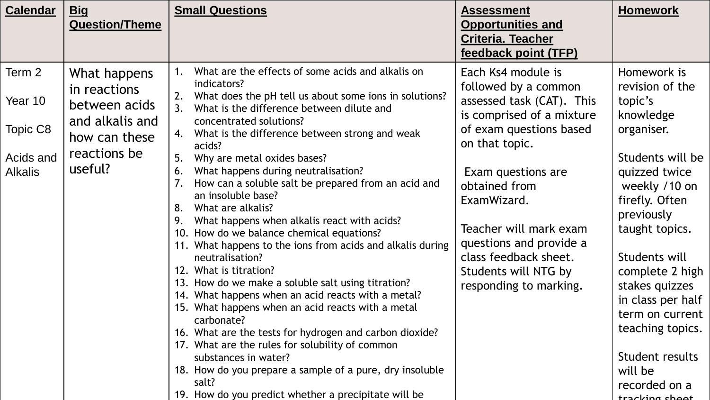| <b>Calendar</b>                                              | <u>Big</u>                                                                                                   | <b>Small Questions</b>                                                                                                                                                                                                                                                                                                                                                                                                                                                                                                                                                                                                                                                                                                                                                                                                                                                                                                                                                                                                                                                                                                           | <b>Assessment</b>                                                                                                                                                                                                                                                                                                                       | <b>Homework</b>                                                                                                                                                                                                                                                                                                                                                 |
|--------------------------------------------------------------|--------------------------------------------------------------------------------------------------------------|----------------------------------------------------------------------------------------------------------------------------------------------------------------------------------------------------------------------------------------------------------------------------------------------------------------------------------------------------------------------------------------------------------------------------------------------------------------------------------------------------------------------------------------------------------------------------------------------------------------------------------------------------------------------------------------------------------------------------------------------------------------------------------------------------------------------------------------------------------------------------------------------------------------------------------------------------------------------------------------------------------------------------------------------------------------------------------------------------------------------------------|-----------------------------------------------------------------------------------------------------------------------------------------------------------------------------------------------------------------------------------------------------------------------------------------------------------------------------------------|-----------------------------------------------------------------------------------------------------------------------------------------------------------------------------------------------------------------------------------------------------------------------------------------------------------------------------------------------------------------|
|                                                              | <b>Question/Theme</b>                                                                                        |                                                                                                                                                                                                                                                                                                                                                                                                                                                                                                                                                                                                                                                                                                                                                                                                                                                                                                                                                                                                                                                                                                                                  | <b>Opportunities and</b><br><b>Criteria. Teacher</b>                                                                                                                                                                                                                                                                                    |                                                                                                                                                                                                                                                                                                                                                                 |
|                                                              |                                                                                                              |                                                                                                                                                                                                                                                                                                                                                                                                                                                                                                                                                                                                                                                                                                                                                                                                                                                                                                                                                                                                                                                                                                                                  | feedback point (TFP)                                                                                                                                                                                                                                                                                                                    |                                                                                                                                                                                                                                                                                                                                                                 |
| Term 2<br>Year 10<br>Topic C8<br>Acids and<br><b>Alkalis</b> | What happens<br>in reactions<br>between acids<br>and alkalis and<br>how can these<br>reactions be<br>useful? | What are the effects of some acids and alkalis on<br>indicators?<br>What does the pH tell us about some ions in solutions?<br>2.<br>What is the difference between dilute and<br>concentrated solutions?<br>What is the difference between strong and weak<br>4.<br>acids?<br>Why are metal oxides bases?<br>5.<br>What happens during neutralisation?<br>6.<br>How can a soluble salt be prepared from an acid and<br>an insoluble base?<br>8.<br>What are alkalis?<br>What happens when alkalis react with acids?<br>How do we balance chemical equations?<br>10.<br>11. What happens to the ions from acids and alkalis during<br>neutralisation?<br>12. What is titration?<br>13. How do we make a soluble salt using titration?<br>14. What happens when an acid reacts with a metal?<br>15. What happens when an acid reacts with a metal<br>carbonate?<br>16. What are the tests for hydrogen and carbon dioxide?<br>17. What are the rules for solubility of common<br>substances in water?<br>18. How do you prepare a sample of a pure, dry insoluble<br>salt?<br>19. How do you predict whether a precipitate will be | Each Ks4 module is<br>followed by a common<br>assessed task (CAT). This<br>is comprised of a mixture<br>of exam questions based<br>on that topic.<br>Exam questions are<br>obtained from<br>ExamWizard.<br>Teacher will mark exam<br>questions and provide a<br>class feedback sheet.<br>Students will NTG by<br>responding to marking. | Homework is<br>revision of the<br>topic's<br>knowledge<br>organiser.<br>Students will be<br>quizzed twice<br>weekly /10 on<br>firefly. Often<br>previously<br>taught topics.<br>Students will<br>complete 2 high<br>stakes quizzes<br>in class per half<br>term on current<br>teaching topics.<br>Student results<br>will be<br>recorded on a<br>tracking shoot |
|                                                              |                                                                                                              |                                                                                                                                                                                                                                                                                                                                                                                                                                                                                                                                                                                                                                                                                                                                                                                                                                                                                                                                                                                                                                                                                                                                  |                                                                                                                                                                                                                                                                                                                                         |                                                                                                                                                                                                                                                                                                                                                                 |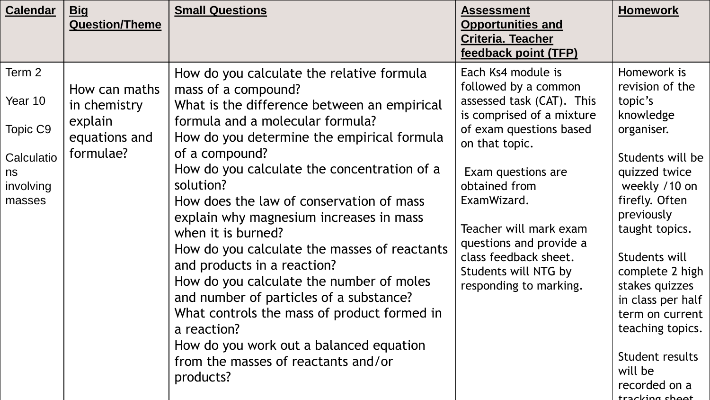| <b>Calendar</b><br><u>Big</u><br><b>Question/Theme</b>                                                                                             | <b>Small Questions</b>                                                                                                                                                                                                                                                                                                                                                                                                                                                                                                                                                                                                                                                                                                          | <b>Assessment</b><br><b>Opportunities and</b><br><b>Criteria. Teacher</b><br>feedback point (TFP)                                                                                                                                                                                                                                       | <b>Homework</b>                                                                                                                                                                                                                                                                                                                                                 |
|----------------------------------------------------------------------------------------------------------------------------------------------------|---------------------------------------------------------------------------------------------------------------------------------------------------------------------------------------------------------------------------------------------------------------------------------------------------------------------------------------------------------------------------------------------------------------------------------------------------------------------------------------------------------------------------------------------------------------------------------------------------------------------------------------------------------------------------------------------------------------------------------|-----------------------------------------------------------------------------------------------------------------------------------------------------------------------------------------------------------------------------------------------------------------------------------------------------------------------------------------|-----------------------------------------------------------------------------------------------------------------------------------------------------------------------------------------------------------------------------------------------------------------------------------------------------------------------------------------------------------------|
| Term 2<br>How can maths<br>Year 10<br>in chemistry<br>explain<br>Topic C9<br>equations and<br>formulae?<br>Calculatio<br>ns<br>involving<br>masses | How do you calculate the relative formula<br>mass of a compound?<br>What is the difference between an empirical<br>formula and a molecular formula?<br>How do you determine the empirical formula<br>of a compound?<br>How do you calculate the concentration of a<br>solution?<br>How does the law of conservation of mass<br>explain why magnesium increases in mass<br>when it is burned?<br>How do you calculate the masses of reactants<br>and products in a reaction?<br>How do you calculate the number of moles<br>and number of particles of a substance?<br>What controls the mass of product formed in<br>a reaction?<br>How do you work out a balanced equation<br>from the masses of reactants and/or<br>products? | Each Ks4 module is<br>followed by a common<br>assessed task (CAT). This<br>is comprised of a mixture<br>of exam questions based<br>on that topic.<br>Exam questions are<br>obtained from<br>ExamWizard.<br>Teacher will mark exam<br>questions and provide a<br>class feedback sheet.<br>Students will NTG by<br>responding to marking. | Homework is<br>revision of the<br>topic's<br>knowledge<br>organiser.<br>Students will be<br>quizzed twice<br>weekly /10 on<br>firefly. Often<br>previously<br>taught topics.<br>Students will<br>complete 2 high<br>stakes quizzes<br>in class per half<br>term on current<br>teaching topics.<br>Student results<br>will be<br>recorded on a<br>trachina choot |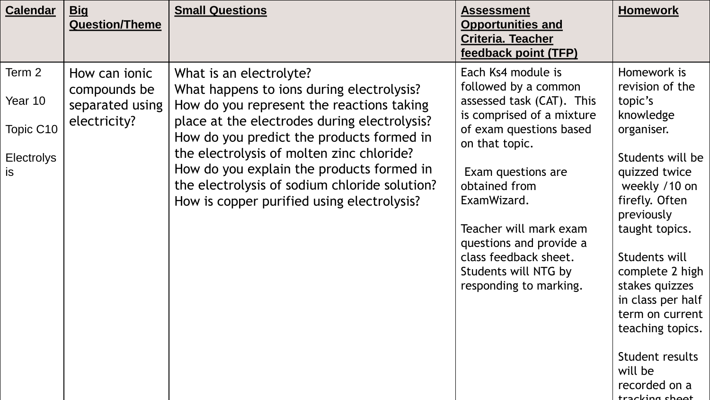| <b>Calendar</b>                                                  | <b>Big</b><br><b>Question/Theme</b>                                     | <b>Small Questions</b>                                                                                                                                                                                                                                                                                                                                                                                  | <b>Assessment</b><br><b>Opportunities and</b><br><b>Criteria. Teacher</b><br>feedback point (TFP)                                                                                                                                                                                                                                       | <b>Homework</b>                                                                                                                                                                                                                                                                                                                                                 |
|------------------------------------------------------------------|-------------------------------------------------------------------------|---------------------------------------------------------------------------------------------------------------------------------------------------------------------------------------------------------------------------------------------------------------------------------------------------------------------------------------------------------------------------------------------------------|-----------------------------------------------------------------------------------------------------------------------------------------------------------------------------------------------------------------------------------------------------------------------------------------------------------------------------------------|-----------------------------------------------------------------------------------------------------------------------------------------------------------------------------------------------------------------------------------------------------------------------------------------------------------------------------------------------------------------|
| Term 2<br>Year 10<br>Topic C10<br><b>Electrolys</b><br><b>is</b> | How can <i>ionic</i><br>compounds be<br>separated using<br>electricity? | What is an electrolyte?<br>What happens to ions during electrolysis?<br>How do you represent the reactions taking<br>place at the electrodes during electrolysis?<br>How do you predict the products formed in<br>the electrolysis of molten zinc chloride?<br>How do you explain the products formed in<br>the electrolysis of sodium chloride solution?<br>How is copper purified using electrolysis? | Each Ks4 module is<br>followed by a common<br>assessed task (CAT). This<br>is comprised of a mixture<br>of exam questions based<br>on that topic.<br>Exam questions are<br>obtained from<br>ExamWizard.<br>Teacher will mark exam<br>questions and provide a<br>class feedback sheet.<br>Students will NTG by<br>responding to marking. | Homework is<br>revision of the<br>topic's<br>knowledge<br>organiser.<br>Students will be<br>quizzed twice<br>weekly /10 on<br>firefly. Often<br>previously<br>taught topics.<br>Students will<br>complete 2 high<br>stakes quizzes<br>in class per half<br>term on current<br>teaching topics.<br>Student results<br>will be<br>recorded on a<br>tracking shoot |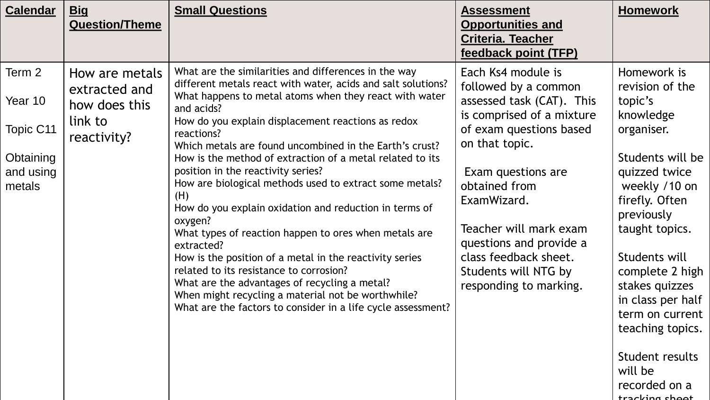| <b>Calendar</b>                                                    | <u>Big</u><br><b>Question/Theme</b>                                        | <b>Small Questions</b>                                                                                                                                                                                                                                                                                                                                                                                                                                                                                                                                                                                                                                                                                                                                                                                                                                                                                                    | <b>Assessment</b><br><b>Opportunities and</b><br><b>Criteria. Teacher</b><br>feedback point (TFP)                                                                                                                                                                                                                                       | <b>Homework</b>                                                                                                                                                                                                                                                                                                                                                 |
|--------------------------------------------------------------------|----------------------------------------------------------------------------|---------------------------------------------------------------------------------------------------------------------------------------------------------------------------------------------------------------------------------------------------------------------------------------------------------------------------------------------------------------------------------------------------------------------------------------------------------------------------------------------------------------------------------------------------------------------------------------------------------------------------------------------------------------------------------------------------------------------------------------------------------------------------------------------------------------------------------------------------------------------------------------------------------------------------|-----------------------------------------------------------------------------------------------------------------------------------------------------------------------------------------------------------------------------------------------------------------------------------------------------------------------------------------|-----------------------------------------------------------------------------------------------------------------------------------------------------------------------------------------------------------------------------------------------------------------------------------------------------------------------------------------------------------------|
| Term 2<br>Year 10<br>Topic C11<br>Obtaining<br>and using<br>metals | How are metals<br>extracted and<br>how does this<br>link to<br>reactivity? | What are the similarities and differences in the way<br>different metals react with water, acids and salt solutions?<br>What happens to metal atoms when they react with water<br>and acids?<br>How do you explain displacement reactions as redox<br>reactions?<br>Which metals are found uncombined in the Earth's crust?<br>How is the method of extraction of a metal related to its<br>position in the reactivity series?<br>How are biological methods used to extract some metals?<br>(H)<br>How do you explain oxidation and reduction in terms of<br>oxygen?<br>What types of reaction happen to ores when metals are<br>extracted?<br>How is the position of a metal in the reactivity series<br>related to its resistance to corrosion?<br>What are the advantages of recycling a metal?<br>When might recycling a material not be worthwhile?<br>What are the factors to consider in a life cycle assessment? | Each Ks4 module is<br>followed by a common<br>assessed task (CAT). This<br>is comprised of a mixture<br>of exam questions based<br>on that topic.<br>Exam questions are<br>obtained from<br>ExamWizard.<br>Teacher will mark exam<br>questions and provide a<br>class feedback sheet.<br>Students will NTG by<br>responding to marking. | Homework is<br>revision of the<br>topic's<br>knowledge<br>organiser.<br>Students will be<br>quizzed twice<br>weekly /10 on<br>firefly. Often<br>previously<br>taught topics.<br>Students will<br>complete 2 high<br>stakes quizzes<br>in class per half<br>term on current<br>teaching topics.<br>Student results<br>will be<br>recorded on a<br>tracking shoot |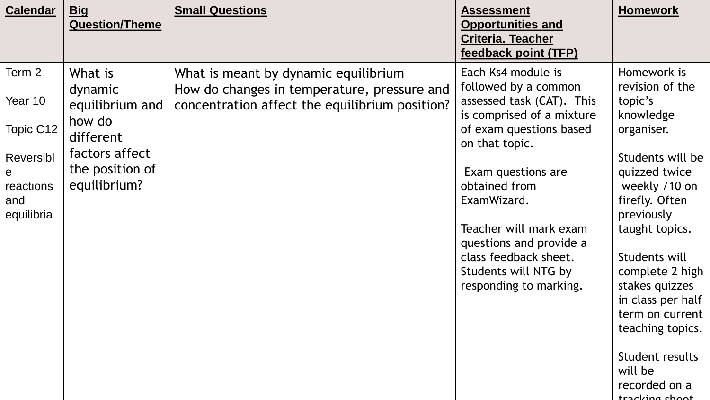| <b>Calendar</b>                                                                    | <b>Big</b><br><b>Question/Theme</b>                                                                               | <b>Small Questions</b>                                                                                                                | <b>Assessment</b><br><b>Opportunities and</b><br><b>Criteria. Teacher</b><br>feedback point (TFP)                                                                                                                                                                                                                                       | <b>Homework</b>                                                                                                                                                                                                                                                                                                              |
|------------------------------------------------------------------------------------|-------------------------------------------------------------------------------------------------------------------|---------------------------------------------------------------------------------------------------------------------------------------|-----------------------------------------------------------------------------------------------------------------------------------------------------------------------------------------------------------------------------------------------------------------------------------------------------------------------------------------|------------------------------------------------------------------------------------------------------------------------------------------------------------------------------------------------------------------------------------------------------------------------------------------------------------------------------|
| Term 2<br>Year 10<br>Topic C12<br>Reversibl<br>e<br>reactions<br>and<br>equilibria | What is<br>dynamic<br>equilibrium and<br>how do<br>different<br>factors affect<br>the position of<br>equilibrium? | What is meant by dynamic equilibrium<br>How do changes in temperature, pressure and<br>concentration affect the equilibrium position? | Each Ks4 module is<br>followed by a common<br>assessed task (CAT). This<br>is comprised of a mixture<br>of exam questions based<br>on that topic.<br>Exam questions are<br>obtained from<br>ExamWizard.<br>Teacher will mark exam<br>questions and provide a<br>class feedback sheet.<br>Students will NTG by<br>responding to marking. | Homework is<br>revision of the<br>topic's<br>knowledge<br>organiser.<br>Students will be<br>quizzed twice<br>weekly /10 on<br>firefly. Often<br>previously<br>taught topics.<br>Students will<br>complete 2 high<br>stakes quizzes<br>in class per half<br>term on current<br>teaching topics.<br>Student results<br>will be |
|                                                                                    |                                                                                                                   |                                                                                                                                       |                                                                                                                                                                                                                                                                                                                                         | recorded on a<br>tracking shoot                                                                                                                                                                                                                                                                                              |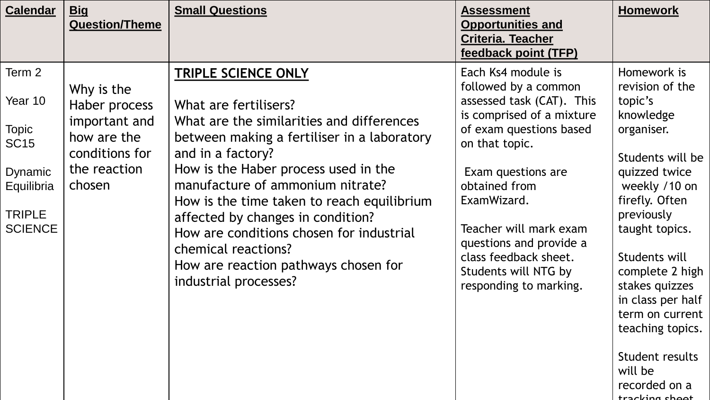| <b>Calendar</b>                                                                                              | <u>Big</u><br><b>Question/Theme</b>                                                                     | <b>Small Questions</b>                                                                                                                                                                                                                                                                                                                                                                                                                                           | <b>Assessment</b><br><b>Opportunities and</b><br><b>Criteria. Teacher</b><br>feedback point (TFP)                                                                                                                                                                                                                                       | <b>Homework</b>                                                                                                                                                                                                                                                                                                                                                 |
|--------------------------------------------------------------------------------------------------------------|---------------------------------------------------------------------------------------------------------|------------------------------------------------------------------------------------------------------------------------------------------------------------------------------------------------------------------------------------------------------------------------------------------------------------------------------------------------------------------------------------------------------------------------------------------------------------------|-----------------------------------------------------------------------------------------------------------------------------------------------------------------------------------------------------------------------------------------------------------------------------------------------------------------------------------------|-----------------------------------------------------------------------------------------------------------------------------------------------------------------------------------------------------------------------------------------------------------------------------------------------------------------------------------------------------------------|
| Term 2<br>Year 10<br><b>Topic</b><br><b>SC15</b><br>Dynamic<br>Equilibria<br><b>TRIPLE</b><br><b>SCIENCE</b> | Why is the<br>Haber process<br>important and<br>how are the<br>conditions for<br>the reaction<br>chosen | TRIPLE SCIENCE ONLY<br>What are fertilisers?<br>What are the similarities and differences<br>between making a fertiliser in a laboratory<br>and in a factory?<br>How is the Haber process used in the<br>manufacture of ammonium nitrate?<br>How is the time taken to reach equilibrium<br>affected by changes in condition?<br>How are conditions chosen for industrial<br>chemical reactions?<br>How are reaction pathways chosen for<br>industrial processes? | Each Ks4 module is<br>followed by a common<br>assessed task (CAT). This<br>is comprised of a mixture<br>of exam questions based<br>on that topic.<br>Exam questions are<br>obtained from<br>ExamWizard.<br>Teacher will mark exam<br>questions and provide a<br>class feedback sheet.<br>Students will NTG by<br>responding to marking. | Homework is<br>revision of the<br>topic's<br>knowledge<br>organiser.<br>Students will be<br>quizzed twice<br>weekly /10 on<br>firefly. Often<br>previously<br>taught topics.<br>Students will<br>complete 2 high<br>stakes quizzes<br>in class per half<br>term on current<br>teaching topics.<br>Student results<br>will be<br>recorded on a<br>tracking shoot |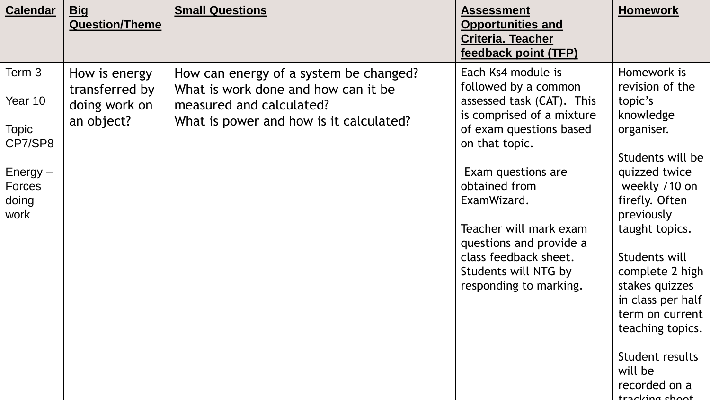| <b>Calendar</b>                                                                       | <u>Big</u><br><b>Question/Theme</b>                            | <b>Small Questions</b>                                                                                                                               | <b>Assessment</b><br><b>Opportunities and</b><br><b>Criteria. Teacher</b><br>feedback point (TFP)                                                                                                                                                                                                                                       | <b>Homework</b>                                                                                                                                                                                                                                                                                                                                                 |
|---------------------------------------------------------------------------------------|----------------------------------------------------------------|------------------------------------------------------------------------------------------------------------------------------------------------------|-----------------------------------------------------------------------------------------------------------------------------------------------------------------------------------------------------------------------------------------------------------------------------------------------------------------------------------------|-----------------------------------------------------------------------------------------------------------------------------------------------------------------------------------------------------------------------------------------------------------------------------------------------------------------------------------------------------------------|
| Term 3<br>Year 10<br><b>Topic</b><br>CP7/SP8<br>$Energy -$<br>Forces<br>doing<br>work | How is energy<br>transferred by<br>doing work on<br>an object? | How can energy of a system be changed?<br>What is work done and how can it be<br>measured and calculated?<br>What is power and how is it calculated? | Each Ks4 module is<br>followed by a common<br>assessed task (CAT). This<br>is comprised of a mixture<br>of exam questions based<br>on that topic.<br>Exam questions are<br>obtained from<br>ExamWizard.<br>Teacher will mark exam<br>questions and provide a<br>class feedback sheet.<br>Students will NTG by<br>responding to marking. | Homework is<br>revision of the<br>topic's<br>knowledge<br>organiser.<br>Students will be<br>quizzed twice<br>weekly /10 on<br>firefly. Often<br>previously<br>taught topics.<br>Students will<br>complete 2 high<br>stakes quizzes<br>in class per half<br>term on current<br>teaching topics.<br>Student results<br>will be<br>recorded on a<br>tracking shoot |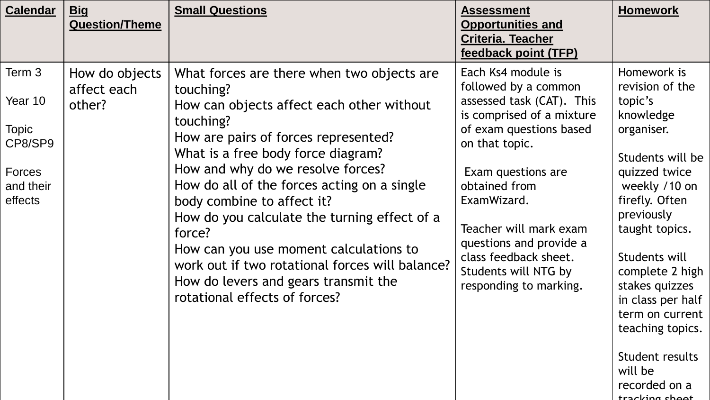| <b>Calendar</b>                                                                | <b>Big</b><br><b>Question/Theme</b>     | <b>Small Questions</b>                                                                                                                                                                                                                                                                                                                                                                                                                                                                                                                            | <b>Assessment</b><br><b>Opportunities and</b><br><b>Criteria. Teacher</b><br>feedback point (TFP)                                                                                                                                                                                                                                       | <b>Homework</b>                                                                                                                                                                                                                                                                                                                                                 |
|--------------------------------------------------------------------------------|-----------------------------------------|---------------------------------------------------------------------------------------------------------------------------------------------------------------------------------------------------------------------------------------------------------------------------------------------------------------------------------------------------------------------------------------------------------------------------------------------------------------------------------------------------------------------------------------------------|-----------------------------------------------------------------------------------------------------------------------------------------------------------------------------------------------------------------------------------------------------------------------------------------------------------------------------------------|-----------------------------------------------------------------------------------------------------------------------------------------------------------------------------------------------------------------------------------------------------------------------------------------------------------------------------------------------------------------|
| Term 3<br>Year 10<br><b>Topic</b><br>CP8/SP9<br>Forces<br>and their<br>effects | How do objects<br>affect each<br>other? | What forces are there when two objects are<br>touching?<br>How can objects affect each other without<br>touching?<br>How are pairs of forces represented?<br>What is a free body force diagram?<br>How and why do we resolve forces?<br>How do all of the forces acting on a single<br>body combine to affect it?<br>How do you calculate the turning effect of a<br>force?<br>How can you use moment calculations to<br>work out if two rotational forces will balance?<br>How do levers and gears transmit the<br>rotational effects of forces? | Each Ks4 module is<br>followed by a common<br>assessed task (CAT). This<br>is comprised of a mixture<br>of exam questions based<br>on that topic.<br>Exam questions are<br>obtained from<br>ExamWizard.<br>Teacher will mark exam<br>questions and provide a<br>class feedback sheet.<br>Students will NTG by<br>responding to marking. | Homework is<br>revision of the<br>topic's<br>knowledge<br>organiser.<br>Students will be<br>quizzed twice<br>weekly /10 on<br>firefly. Often<br>previously<br>taught topics.<br>Students will<br>complete 2 high<br>stakes quizzes<br>in class per half<br>term on current<br>teaching topics.<br>Student results<br>will be<br>recorded on a<br>tracking shoot |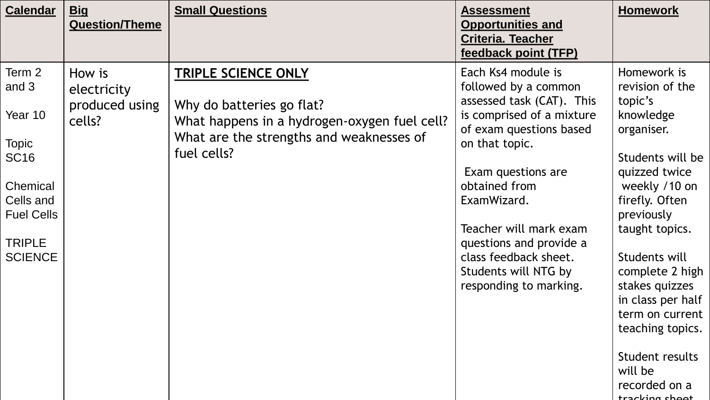| <b>Calendar</b>                                                                                                                            | <u>Big</u><br><b>Question/Theme</b>               | <b>Small Questions</b>                                                                                                                                      | <b>Assessment</b><br><b>Opportunities and</b><br><b>Criteria. Teacher</b><br>feedback point (TFP)                                                                                                                                                                                                                                       | <b>Homework</b>                                                                                                                                                                                                                                                                                                                                                 |
|--------------------------------------------------------------------------------------------------------------------------------------------|---------------------------------------------------|-------------------------------------------------------------------------------------------------------------------------------------------------------------|-----------------------------------------------------------------------------------------------------------------------------------------------------------------------------------------------------------------------------------------------------------------------------------------------------------------------------------------|-----------------------------------------------------------------------------------------------------------------------------------------------------------------------------------------------------------------------------------------------------------------------------------------------------------------------------------------------------------------|
| Term 2<br>and 3<br>Year 10<br><b>Topic</b><br><b>SC16</b><br>Chemical<br>Cells and<br><b>Fuel Cells</b><br><b>TRIPLE</b><br><b>SCIENCE</b> | How is<br>electricity<br>produced using<br>cells? | TRIPLE SCIENCE ONLY<br>Why do batteries go flat?<br>What happens in a hydrogen-oxygen fuel cell?<br>What are the strengths and weaknesses of<br>fuel cells? | Each Ks4 module is<br>followed by a common<br>assessed task (CAT). This<br>is comprised of a mixture<br>of exam questions based<br>on that topic.<br>Exam questions are<br>obtained from<br>ExamWizard.<br>Teacher will mark exam<br>questions and provide a<br>class feedback sheet.<br>Students will NTG by<br>responding to marking. | Homework is<br>revision of the<br>topic's<br>knowledge<br>organiser.<br>Students will be<br>quizzed twice<br>weekly /10 on<br>firefly. Often<br>previously<br>taught topics.<br>Students will<br>complete 2 high<br>stakes quizzes<br>in class per half<br>term on current<br>teaching topics.<br>Student results<br>will be<br>recorded on a<br>tracking shoot |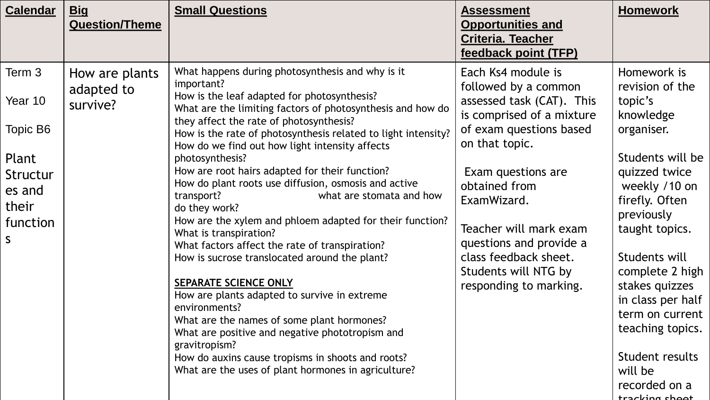| <b>Calendar</b>                                                                         | <u>Big</u><br><b>Question/Theme</b>      | <b>Small Questions</b>                                                                                                                                                                                                                                                                                                                                                                                                                                                                                                                                                                                                                                                                                                                                                                                                                                                                                                                                                                                                                             | <b>Assessment</b><br><b>Opportunities and</b><br><b>Criteria. Teacher</b><br>feedback point (TFP)                                                                                                                                                                                                                                       | <b>Homework</b>                                                                                                                                                                                                                                                                                                                                                 |
|-----------------------------------------------------------------------------------------|------------------------------------------|----------------------------------------------------------------------------------------------------------------------------------------------------------------------------------------------------------------------------------------------------------------------------------------------------------------------------------------------------------------------------------------------------------------------------------------------------------------------------------------------------------------------------------------------------------------------------------------------------------------------------------------------------------------------------------------------------------------------------------------------------------------------------------------------------------------------------------------------------------------------------------------------------------------------------------------------------------------------------------------------------------------------------------------------------|-----------------------------------------------------------------------------------------------------------------------------------------------------------------------------------------------------------------------------------------------------------------------------------------------------------------------------------------|-----------------------------------------------------------------------------------------------------------------------------------------------------------------------------------------------------------------------------------------------------------------------------------------------------------------------------------------------------------------|
| Term 3<br>Year 10<br>Topic B6<br>Plant<br>Structur<br>es and<br>their<br>function<br>S. | How are plants<br>adapted to<br>survive? | What happens during photosynthesis and why is it<br>important?<br>How is the leaf adapted for photosynthesis?<br>What are the limiting factors of photosynthesis and how do<br>they affect the rate of photosynthesis?<br>How is the rate of photosynthesis related to light intensity?<br>How do we find out how light intensity affects<br>photosynthesis?<br>How are root hairs adapted for their function?<br>How do plant roots use diffusion, osmosis and active<br>transport?<br>what are stomata and how<br>do they work?<br>How are the xylem and phloem adapted for their function?<br>What is transpiration?<br>What factors affect the rate of transpiration?<br>How is sucrose translocated around the plant?<br>SEPARATE SCIENCE ONLY<br>How are plants adapted to survive in extreme<br>environments?<br>What are the names of some plant hormones?<br>What are positive and negative phototropism and<br>gravitropism?<br>How do auxins cause tropisms in shoots and roots?<br>What are the uses of plant hormones in agriculture? | Each Ks4 module is<br>followed by a common<br>assessed task (CAT). This<br>is comprised of a mixture<br>of exam questions based<br>on that topic.<br>Exam questions are<br>obtained from<br>ExamWizard.<br>Teacher will mark exam<br>questions and provide a<br>class feedback sheet.<br>Students will NTG by<br>responding to marking. | Homework is<br>revision of the<br>topic's<br>knowledge<br>organiser.<br>Students will be<br>quizzed twice<br>weekly /10 on<br>firefly. Often<br>previously<br>taught topics.<br>Students will<br>complete 2 high<br>stakes quizzes<br>in class per half<br>term on current<br>teaching topics.<br>Student results<br>will be<br>recorded on a<br>tracking choot |